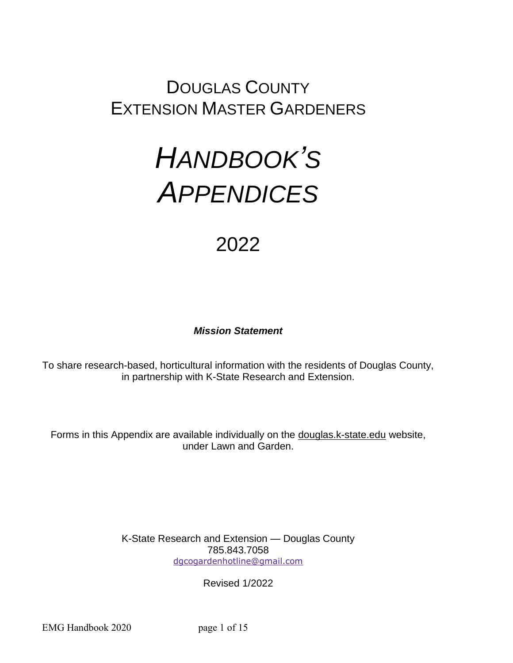## DOUGLAS COUNTY EXTENSION MASTER GARDENERS

# *HANDBOOK'S APPENDICES*

## 2022

#### *Mission Statement*

To share research-based, horticultural information with the residents of Douglas County, in partnership with K-State Research and Extension.

Forms in this Appendix are available individually on the douglas.k-state.edu website, under Lawn and Garden.

> K-State Research and Extension — Douglas County 785.843.7058 [dgcogardenhotline@gmail.com](mailto:dgcogardenhotline@gmail.com)

> > Revised 1/2022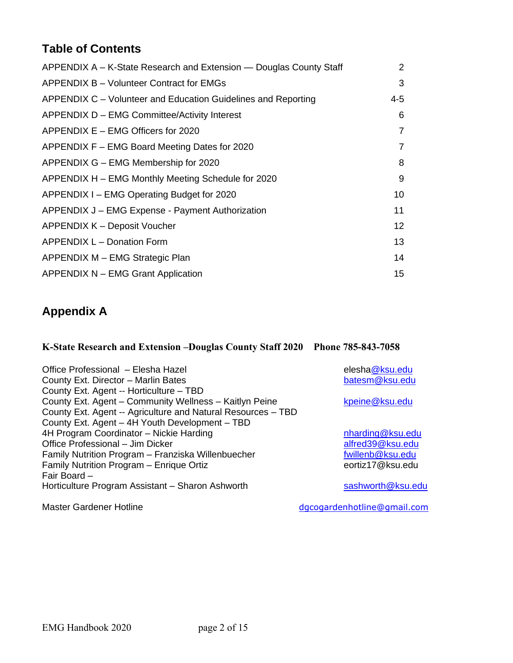## **Table of Contents**

| APPENDIX A - K-State Research and Extension - Douglas County Staff | 2       |
|--------------------------------------------------------------------|---------|
| APPENDIX B - Volunteer Contract for EMGs                           | 3       |
| APPENDIX C – Volunteer and Education Guidelines and Reporting      | $4 - 5$ |
| APPENDIX D - EMG Committee/Activity Interest                       | 6       |
| APPENDIX E – EMG Officers for 2020                                 | 7       |
| APPENDIX F – EMG Board Meeting Dates for 2020                      | 7       |
| APPENDIX G – EMG Membership for 2020                               | 8       |
| APPENDIX H - EMG Monthly Meeting Schedule for 2020                 | 9       |
| APPENDIX I - EMG Operating Budget for 2020                         | 10      |
| APPENDIX J - EMG Expense - Payment Authorization                   | 11      |
| APPENDIX K - Deposit Voucher                                       | 12      |
| APPENDIX L - Donation Form                                         | 13      |
| APPENDIX M - EMG Strategic Plan                                    | 14      |
| APPENDIX N - EMG Grant Application                                 | 15      |

## **Appendix A**

## **K-State Research and Extension –Douglas County Staff 2020 Phone 785-843-7058**

| Office Professional – Elesha Hazel<br>County Ext. Director - Marlin Bates | elesha@ksu.edu<br>batesm@ksu.edu |
|---------------------------------------------------------------------------|----------------------------------|
| County Ext. Agent -- Horticulture - TBD                                   |                                  |
| County Ext. Agent - Community Wellness - Kaitlyn Peine                    | kpeine@ksu.edu                   |
| County Ext. Agent -- Agriculture and Natural Resources - TBD              |                                  |
| County Ext. Agent - 4H Youth Development - TBD                            |                                  |
| 4H Program Coordinator - Nickie Harding                                   | nharding@ksu.edu                 |
| Office Professional - Jim Dicker                                          | alfred39@ksu.edu                 |
| Family Nutrition Program - Franziska Willenbuecher                        | fwillenb@ksu.edu                 |
| Family Nutrition Program - Enrique Ortiz                                  | eortiz17@ksu.edu                 |
| Fair Board -                                                              |                                  |
| Horticulture Program Assistant - Sharon Ashworth                          | sashworth@ksu.edu                |
| <b>Master Gardener Hotline</b>                                            | dgcogardenhotline@gmail.com      |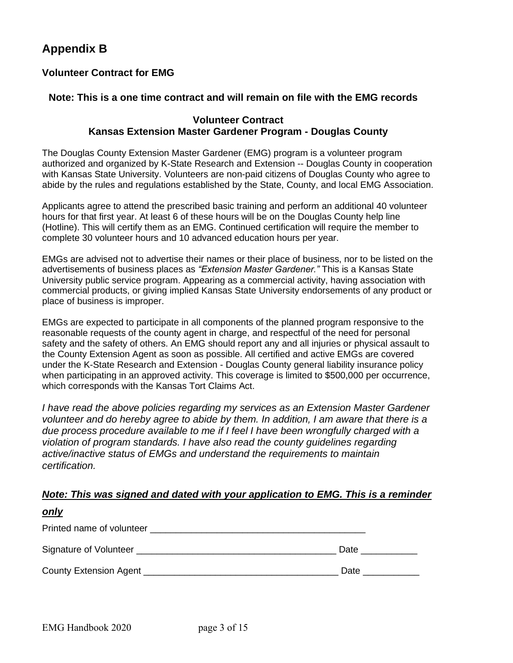## **Appendix B**

#### **Volunteer Contract for EMG**

#### **Note: This is a one time contract and will remain on file with the EMG records**

#### **Volunteer Contract Kansas Extension Master Gardener Program - Douglas County**

The Douglas County Extension Master Gardener (EMG) program is a volunteer program authorized and organized by K-State Research and Extension -- Douglas County in cooperation with Kansas State University. Volunteers are non-paid citizens of Douglas County who agree to abide by the rules and regulations established by the State, County, and local EMG Association.

Applicants agree to attend the prescribed basic training and perform an additional 40 volunteer hours for that first year. At least 6 of these hours will be on the Douglas County help line (Hotline). This will certify them as an EMG. Continued certification will require the member to complete 30 volunteer hours and 10 advanced education hours per year.

EMGs are advised not to advertise their names or their place of business, nor to be listed on the advertisements of business places as *"Extension Master Gardener."* This is a Kansas State University public service program. Appearing as a commercial activity, having association with commercial products, or giving implied Kansas State University endorsements of any product or place of business is improper.

EMGs are expected to participate in all components of the planned program responsive to the reasonable requests of the county agent in charge, and respectful of the need for personal safety and the safety of others. An EMG should report any and all injuries or physical assault to the County Extension Agent as soon as possible. All certified and active EMGs are covered under the K-State Research and Extension - Douglas County general liability insurance policy when participating in an approved activity. This coverage is limited to \$500,000 per occurrence, which corresponds with the Kansas Tort Claims Act.

*I have read the above policies regarding my services as an Extension Master Gardener volunteer and do hereby agree to abide by them. In addition, I am aware that there is a due process procedure available to me if I feel I have been wrongfully charged with a violation of program standards. I have also read the county guidelines regarding active/inactive status of EMGs and understand the requirements to maintain certification.*

#### *Note: This was signed and dated with your application to EMG. This is a reminder*

| <u>only</u>                                 |      |
|---------------------------------------------|------|
| Printed name of volunteer                   |      |
| Signature of Volunteer                      | Date |
| County Extension Agent ____________________ | Date |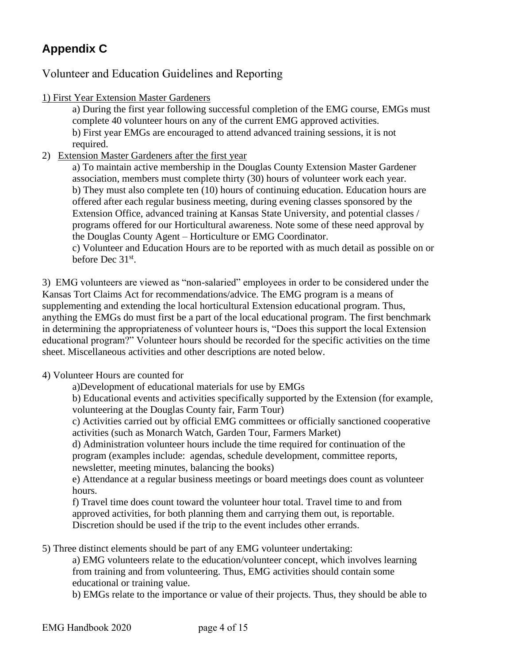## **Appendix C**

Volunteer and Education Guidelines and Reporting

1) First Year Extension Master Gardeners

a) During the first year following successful completion of the EMG course, EMGs must complete 40 volunteer hours on any of the current EMG approved activities. b) First year EMGs are encouraged to attend advanced training sessions, it is not required.

2) Extension Master Gardeners after the first year

a) To maintain active membership in the Douglas County Extension Master Gardener association, members must complete thirty (30) hours of volunteer work each year. b) They must also complete ten (10) hours of continuing education. Education hours are offered after each regular business meeting, during evening classes sponsored by the Extension Office, advanced training at Kansas State University, and potential classes / programs offered for our Horticultural awareness. Note some of these need approval by the Douglas County Agent – Horticulture or EMG Coordinator.

c) Volunteer and Education Hours are to be reported with as much detail as possible on or before Dec 31<sup>st</sup>.

3) EMG volunteers are viewed as "non-salaried" employees in order to be considered under the Kansas Tort Claims Act for recommendations/advice. The EMG program is a means of supplementing and extending the local horticultural Extension educational program. Thus, anything the EMGs do must first be a part of the local educational program. The first benchmark in determining the appropriateness of volunteer hours is, "Does this support the local Extension educational program?" Volunteer hours should be recorded for the specific activities on the time sheet. Miscellaneous activities and other descriptions are noted below.

- 4) Volunteer Hours are counted for
	- a)Development of educational materials for use by EMGs

b) Educational events and activities specifically supported by the Extension (for example, volunteering at the Douglas County fair, Farm Tour)

c) Activities carried out by official EMG committees or officially sanctioned cooperative activities (such as Monarch Watch, Garden Tour, Farmers Market)

d) Administration volunteer hours include the time required for continuation of the program (examples include: agendas, schedule development, committee reports, newsletter, meeting minutes, balancing the books)

e) Attendance at a regular business meetings or board meetings does count as volunteer hours.

f) Travel time does count toward the volunteer hour total. Travel time to and from approved activities, for both planning them and carrying them out, is reportable. Discretion should be used if the trip to the event includes other errands.

5) Three distinct elements should be part of any EMG volunteer undertaking:

a) EMG volunteers relate to the education/volunteer concept, which involves learning from training and from volunteering. Thus, EMG activities should contain some educational or training value.

b) EMGs relate to the importance or value of their projects. Thus, they should be able to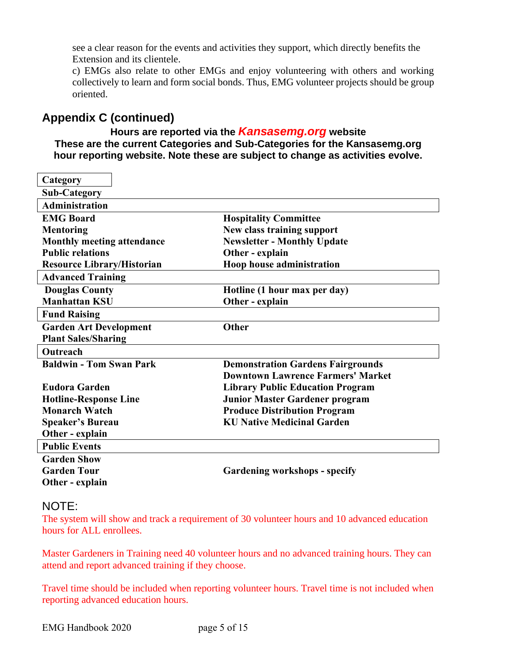see a clear reason for the events and activities they support, which directly benefits the Extension and its clientele.

c) EMGs also relate to other EMGs and enjoy volunteering with others and working collectively to learn and form social bonds. Thus, EMG volunteer projects should be group oriented.

## **Appendix C (continued)**

#### **Hours are reported via the** *Kansasemg.org* **website These are the current Categories and Sub-Categories for the Kansasemg.org hour reporting website. Note these are subject to change as activities evolve.**

| Category                          |                                          |
|-----------------------------------|------------------------------------------|
| <b>Sub-Category</b>               |                                          |
| <b>Administration</b>             |                                          |
| <b>EMG Board</b>                  | <b>Hospitality Committee</b>             |
| <b>Mentoring</b>                  | New class training support               |
| <b>Monthly meeting attendance</b> | <b>Newsletter - Monthly Update</b>       |
| <b>Public relations</b>           | Other - explain                          |
| <b>Resource Library/Historian</b> | Hoop house administration                |
| <b>Advanced Training</b>          |                                          |
| <b>Douglas County</b>             | Hotline (1 hour max per day)             |
| <b>Manhattan KSU</b>              | Other - explain                          |
| <b>Fund Raising</b>               |                                          |
| <b>Garden Art Development</b>     | Other                                    |
| <b>Plant Sales/Sharing</b>        |                                          |
| Outreach                          |                                          |
| <b>Baldwin - Tom Swan Park</b>    | <b>Demonstration Gardens Fairgrounds</b> |
|                                   | <b>Downtown Lawrence Farmers' Market</b> |
| <b>Eudora Garden</b>              | <b>Library Public Education Program</b>  |
| <b>Hotline-Response Line</b>      | Junior Master Gardener program           |
| <b>Monarch Watch</b>              | <b>Produce Distribution Program</b>      |
| <b>Speaker's Bureau</b>           | <b>KU Native Medicinal Garden</b>        |
| Other - explain                   |                                          |
| <b>Public Events</b>              |                                          |
| <b>Garden Show</b>                |                                          |
| <b>Garden Tour</b>                | <b>Gardening workshops - specify</b>     |
| Other - explain                   |                                          |
|                                   |                                          |

#### NOTE:

The system will show and track a requirement of 30 volunteer hours and 10 advanced education hours for ALL enrollees.

Master Gardeners in Training need 40 volunteer hours and no advanced training hours. They can attend and report advanced training if they choose.

Travel time should be included when reporting volunteer hours. Travel time is not included when reporting advanced education hours.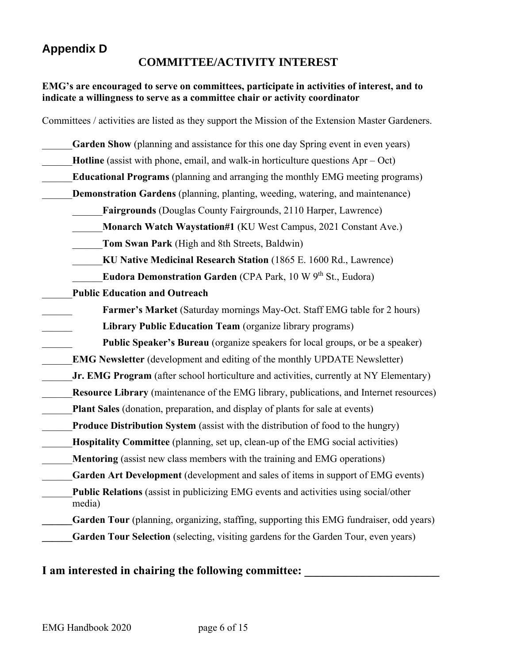## **Appendix D**

#### **COMMITTEE/ACTIVITY INTEREST**

#### **EMG's are encouraged to serve on committees, participate in activities of interest, and to indicate a willingness to serve as a committee chair or activity coordinator**

| Committees / activities are listed as they support the Mission of the Extension Master Gardeners. |
|---------------------------------------------------------------------------------------------------|
| Garden Show (planning and assistance for this one day Spring event in even years)                 |
| <b>Hotline</b> (assist with phone, email, and walk-in horticulture questions $Apr - Oct$ )        |
| <b>Educational Programs</b> (planning and arranging the monthly EMG meeting programs)             |
| Demonstration Gardens (planning, planting, weeding, watering, and maintenance)                    |
| <b>Fairgrounds</b> (Douglas County Fairgrounds, 2110 Harper, Lawrence)                            |
| Monarch Watch Waystation#1 (KU West Campus, 2021 Constant Ave.)                                   |
| Tom Swan Park (High and 8th Streets, Baldwin)                                                     |
| KU Native Medicinal Research Station (1865 E. 1600 Rd., Lawrence)                                 |
| Eudora Demonstration Garden (CPA Park, 10 W 9th St., Eudora)                                      |
| <b>Public Education and Outreach</b>                                                              |
| Farmer's Market (Saturday mornings May-Oct. Staff EMG table for 2 hours)                          |
| Library Public Education Team (organize library programs)                                         |
| <b>Public Speaker's Bureau</b> (organize speakers for local groups, or be a speaker)              |
| <b>EMG Newsletter</b> (development and editing of the monthly UPDATE Newsletter)                  |
| Jr. EMG Program (after school horticulture and activities, currently at NY Elementary)            |
| Resource Library (maintenance of the EMG library, publications, and Internet resources)           |
| <b>Plant Sales</b> (donation, preparation, and display of plants for sale at events)              |
| Produce Distribution System (assist with the distribution of food to the hungry)                  |
| Hospitality Committee (planning, set up, clean-up of the EMG social activities)                   |
| <b>Mentoring</b> (assist new class members with the training and EMG operations)                  |
| Garden Art Development (development and sales of items in support of EMG events)                  |
| Public Relations (assist in publicizing EMG events and activities using social/other<br>media)    |
| Garden Tour (planning, organizing, staffing, supporting this EMG fundraiser, odd years)           |
| Garden Tour Selection (selecting, visiting gardens for the Garden Tour, even years)               |
|                                                                                                   |

#### **I** am interested in chairing the following committee: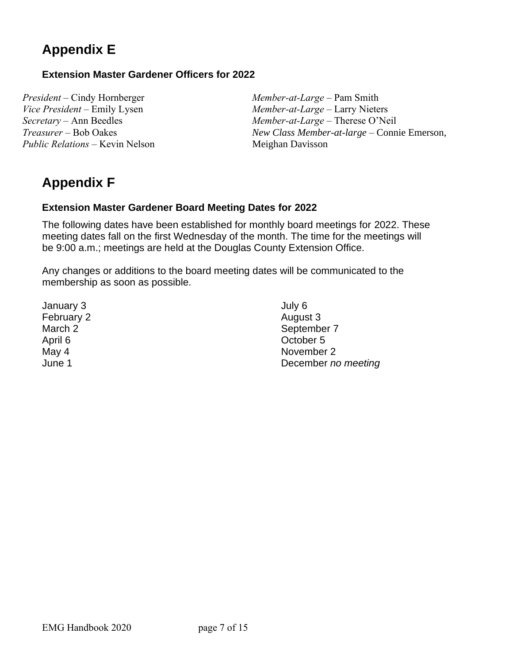## **Appendix E**

#### **Extension Master Gardener Officers for 2022**

*President –* Cindy Hornberger *Vice President –* Emily Lysen *Secretary –* Ann Beedles *Treasurer –* Bob Oakes *Public Relations –* Kevin Nelson *Member-at-Large –* Pam Smith *Member-at-Large –* Larry Nieters *Member-at-Large –* Therese O'Neil *New Class Member-at-large* – Connie Emerson, Meighan Davisson

## **Appendix F**

#### **Extension Master Gardener Board Meeting Dates for 2022**

The following dates have been established for monthly board meetings for 2022. These meeting dates fall on the first Wednesday of the month. The time for the meetings will be 9:00 a.m.; meetings are held at the Douglas County Extension Office.

Any changes or additions to the board meeting dates will be communicated to the membership as soon as possible.

January 3 February 2 March 2 April 6 May 4 June 1

July 6 August 3 September 7 October 5 November 2 December *no meeting*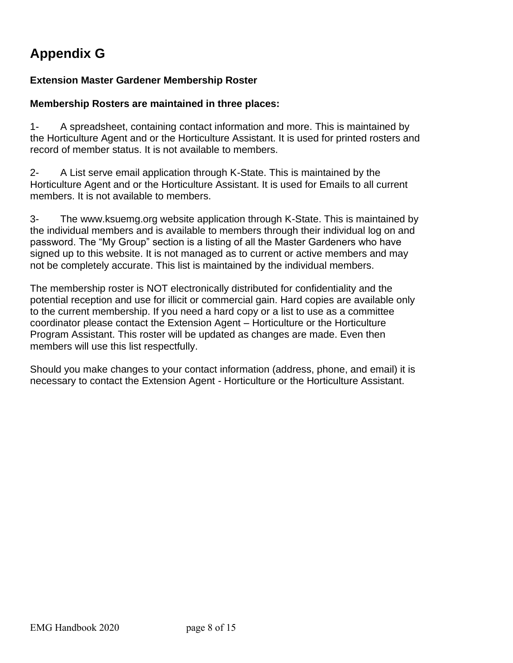## **Appendix G**

#### **Extension Master Gardener Membership Roster**

#### **Membership Rosters are maintained in three places:**

1- A spreadsheet, containing contact information and more. This is maintained by the Horticulture Agent and or the Horticulture Assistant. It is used for printed rosters and record of member status. It is not available to members.

2- A List serve email application through K-State. This is maintained by the Horticulture Agent and or the Horticulture Assistant. It is used for Emails to all current members. It is not available to members.

3- The www.ksuemg.org website application through K-State. This is maintained by the individual members and is available to members through their individual log on and password. The "My Group" section is a listing of all the Master Gardeners who have signed up to this website. It is not managed as to current or active members and may not be completely accurate. This list is maintained by the individual members.

The membership roster is NOT electronically distributed for confidentiality and the potential reception and use for illicit or commercial gain. Hard copies are available only to the current membership. If you need a hard copy or a list to use as a committee coordinator please contact the Extension Agent – Horticulture or the Horticulture Program Assistant. This roster will be updated as changes are made. Even then members will use this list respectfully.

Should you make changes to your contact information (address, phone, and email) it is necessary to contact the Extension Agent - Horticulture or the Horticulture Assistant.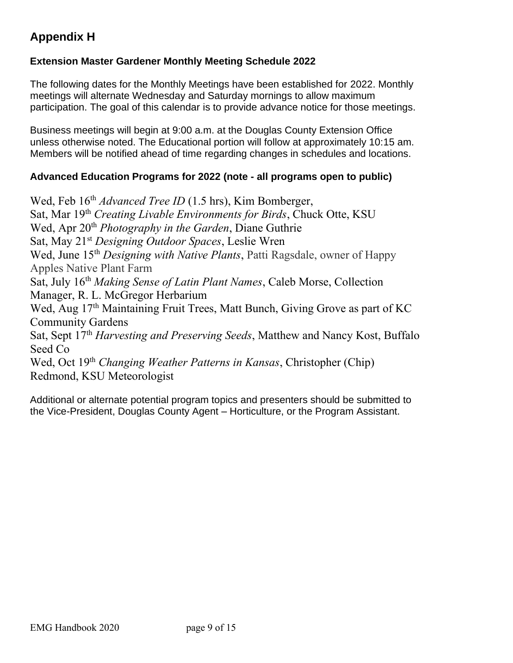## **Appendix H**

#### **Extension Master Gardener Monthly Meeting Schedule 2022**

The following dates for the Monthly Meetings have been established for 2022. Monthly meetings will alternate Wednesday and Saturday mornings to allow maximum participation. The goal of this calendar is to provide advance notice for those meetings.

Business meetings will begin at 9:00 a.m. at the Douglas County Extension Office unless otherwise noted. The Educational portion will follow at approximately 10:15 am. Members will be notified ahead of time regarding changes in schedules and locations.

#### **Advanced Education Programs for 2022 (note - all programs open to public)**

Wed, Feb 16<sup>th</sup> *Advanced Tree ID* (1.5 hrs), Kim Bomberger, Sat, Mar 19th *Creating Livable Environments for Birds*, Chuck Otte, KSU Wed, Apr 20<sup>th</sup> *Photography in the Garden*, Diane Guthrie Sat, May 21st *Designing Outdoor Spaces*, Leslie Wren Wed, June 15<sup>th</sup> *Designing with Native Plants*, Patti Ragsdale, owner of Happy Apples Native Plant Farm Sat, July 16th *Making Sense of Latin Plant Names*, Caleb Morse, Collection Manager, R. L. McGregor Herbarium Wed, Aug 17<sup>th</sup> Maintaining Fruit Trees, Matt Bunch, Giving Grove as part of KC Community Gardens Sat, Sept 17th *Harvesting and Preserving Seeds*, Matthew and Nancy Kost, Buffalo Seed Co Wed, Oct 19<sup>th</sup> Changing Weather Patterns in Kansas, Christopher (Chip) Redmond, KSU Meteorologist

Additional or alternate potential program topics and presenters should be submitted to the Vice-President, Douglas County Agent – Horticulture, or the Program Assistant.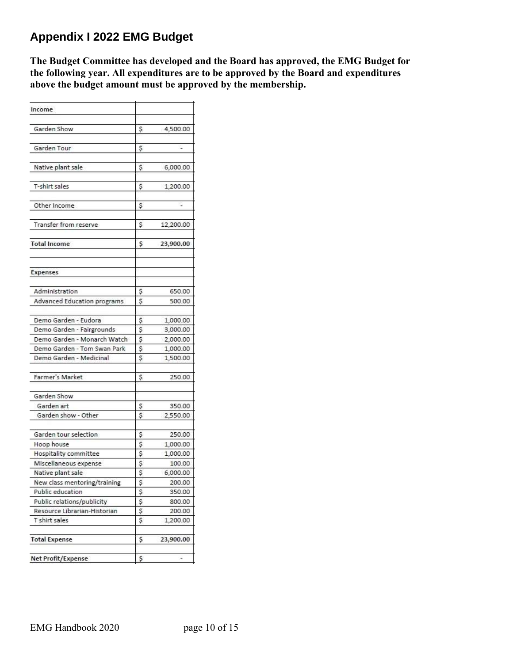## **Appendix I 2022 EMG Budget**

**The Budget Committee has developed and the Board has approved, the EMG Budget for the following year. All expenditures are to be approved by the Board and expenditures above the budget amount must be approved by the membership.**

| Income                             |    |           |
|------------------------------------|----|-----------|
| Garden Show                        | Ş  | 4,500.00  |
| Garden Tour                        | \$ |           |
| Native plant sale                  | Ś  | 6,000.00  |
| T-shirt sales                      | \$ | 1,200.00  |
| Other Income                       | \$ | ¥         |
| Transfer from reserve              | \$ | 12,200.00 |
| <b>Total Income</b>                | \$ | 23,900.00 |
| Expenses                           |    |           |
| Administration                     | \$ | 650.00    |
| <b>Advanced Education programs</b> | \$ | 500.00    |
| Demo Garden - Eudora               | \$ | 1,000.00  |
| Demo Garden - Fairgrounds          | \$ | 3,000.00  |
| Demo Garden - Monarch Watch        | \$ | 2,000.00  |
| Demo Garden - Tom Swan Park        | \$ | 1,000.00  |
| Demo Garden - Medicinal            | \$ | 1,500.00  |
| Farmer's Market                    | S  | 250.00    |
| Garden Show                        |    |           |
| Garden art                         | \$ | 350.00    |
| Garden show - Other                | \$ | 2,550.00  |
| Garden tour selection              | \$ | 250.00    |
| Hoop house                         | \$ | 1,000.00  |
| <b>Hospitality committee</b>       | \$ | 1,000.00  |
| Miscellaneous expense              | \$ | 100.00    |
| Native plant sale                  | \$ | 6,000.00  |
| New class mentoring/training       | Ş  | 200.00    |
| Public education                   | Ş  | 350.00    |
| Public relations/publicity         | \$ | 800.00    |
| Resource Librarian-Historian       | \$ | 200.00    |
| T shirt sales                      | \$ | 1,200.00  |
| <b>Total Expense</b>               | \$ | 23,900.00 |
| <b>Net Profit/Expense</b>          | \$ |           |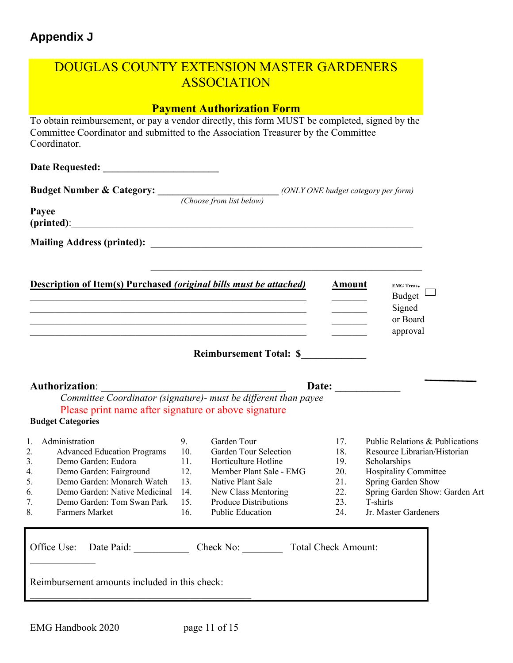## **Appendix J**

| <b>DOUGLAS COUNTY EXTENSION MASTER GARDENERS</b>                                                                                                                                                                                                                      |                                                     | <b>ASSOCIATION</b>                                                                                                                                                                             |                                                      |                                                                                                                                                                                                             |
|-----------------------------------------------------------------------------------------------------------------------------------------------------------------------------------------------------------------------------------------------------------------------|-----------------------------------------------------|------------------------------------------------------------------------------------------------------------------------------------------------------------------------------------------------|------------------------------------------------------|-------------------------------------------------------------------------------------------------------------------------------------------------------------------------------------------------------------|
|                                                                                                                                                                                                                                                                       |                                                     | <b>Payment Authorization Form</b>                                                                                                                                                              |                                                      |                                                                                                                                                                                                             |
| To obtain reimbursement, or pay a vendor directly, this form MUST be completed, signed by the<br>Committee Coordinator and submitted to the Association Treasurer by the Committee<br>Coordinator.                                                                    |                                                     |                                                                                                                                                                                                |                                                      |                                                                                                                                                                                                             |
|                                                                                                                                                                                                                                                                       |                                                     |                                                                                                                                                                                                |                                                      |                                                                                                                                                                                                             |
| <b>Budget Number &amp; Category:</b> ( <i>Choose from list below</i> ) ( <i>ONLY ONE budget category per form</i> )                                                                                                                                                   |                                                     |                                                                                                                                                                                                |                                                      |                                                                                                                                                                                                             |
| Payee<br>(printed):                                                                                                                                                                                                                                                   |                                                     |                                                                                                                                                                                                |                                                      |                                                                                                                                                                                                             |
|                                                                                                                                                                                                                                                                       |                                                     |                                                                                                                                                                                                |                                                      |                                                                                                                                                                                                             |
|                                                                                                                                                                                                                                                                       |                                                     |                                                                                                                                                                                                |                                                      |                                                                                                                                                                                                             |
| <b>Description of Item(s) Purchased (original bills must be attached)</b>                                                                                                                                                                                             |                                                     | <u> 1989 - Johann John Stone, mars and deutscher Stone (1989)</u>                                                                                                                              | <b>Amount</b>                                        | <b>EMG Treas.</b><br>Budget<br>Signed<br>or Board<br>approval                                                                                                                                               |
|                                                                                                                                                                                                                                                                       |                                                     | Reimbursement Total: \$                                                                                                                                                                        |                                                      |                                                                                                                                                                                                             |
|                                                                                                                                                                                                                                                                       |                                                     |                                                                                                                                                                                                |                                                      | Date: $\qquad \qquad$                                                                                                                                                                                       |
| Committee Coordinator (signature)- must be different than payee                                                                                                                                                                                                       |                                                     |                                                                                                                                                                                                |                                                      |                                                                                                                                                                                                             |
| Please print name after signature or above signature<br><b>Budget Categories</b>                                                                                                                                                                                      |                                                     |                                                                                                                                                                                                |                                                      |                                                                                                                                                                                                             |
| 1.<br>Administration<br>2.<br><b>Advanced Education Programs</b><br>3.<br>Demo Garden: Eudora<br>4.<br>Demo Garden: Fairground<br>5.<br>Demo Garden: Monarch Watch<br>Demo Garden: Native Medicinal<br>6.<br>7.<br>Demo Garden: Tom Swan Park<br>8.<br>Farmers Market | 9.<br>10.<br>11.<br>12.<br>13.<br>14.<br>15.<br>16. | Garden Tour<br>Garden Tour Selection<br>Horticulture Hotline<br>Member Plant Sale - EMG<br>Native Plant Sale<br>New Class Mentoring<br><b>Produce Distributions</b><br><b>Public Education</b> | 17.<br>18.<br>19.<br>20.<br>21.<br>22.<br>23.<br>24. | Public Relations & Publications<br>Resource Librarian/Historian<br>Scholarships<br><b>Hospitality Committee</b><br>Spring Garden Show<br>Spring Garden Show: Garden Art<br>T-shirts<br>Jr. Master Gardeners |
| Date Paid:<br>Office Use:<br>Reimbursement amounts included in this check:                                                                                                                                                                                            |                                                     | Check No:                                                                                                                                                                                      | <b>Total Check Amount:</b>                           |                                                                                                                                                                                                             |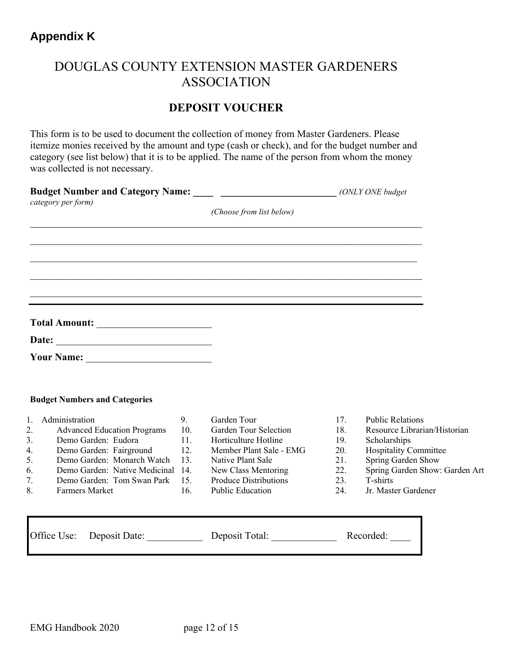## DOUGLAS COUNTY EXTENSION MASTER GARDENERS ASSOCIATION

### **DEPOSIT VOUCHER**

This form is to be used to document the collection of money from Master Gardeners. Please itemize monies received by the amount and type (cash or check), and for the budget number and category (see list below) that it is to be applied. The name of the person from whom the money was collected is not necessary.

|    | Budget Number and Category Name: _____ _____________________________ (ONLY ONE budget<br>category per form) |     |                              |     |                                |
|----|-------------------------------------------------------------------------------------------------------------|-----|------------------------------|-----|--------------------------------|
|    |                                                                                                             |     | (Choose from list below)     |     |                                |
|    |                                                                                                             |     |                              |     |                                |
|    |                                                                                                             |     |                              |     |                                |
|    |                                                                                                             |     |                              |     |                                |
|    | ,我们也不能在这里的人,我们也不能在这里的人,我们也不能在这里的人,我们也不能在这里的人,我们也不能在这里的人,我们也不能在这里的人,我们也不能在这里的人,我们也                           |     |                              |     |                                |
|    |                                                                                                             |     |                              |     |                                |
|    |                                                                                                             |     |                              |     |                                |
|    |                                                                                                             |     |                              |     |                                |
|    | <b>Budget Numbers and Categories</b>                                                                        |     |                              |     |                                |
| 1. | Administration                                                                                              | 9.  | Garden Tour                  | 17. | <b>Public Relations</b>        |
| 2. | <b>Advanced Education Programs</b>                                                                          | 10. | Garden Tour Selection        | 18. | Resource Librarian/Historian   |
| 3. | Demo Garden: Eudora                                                                                         | 11. | Horticulture Hotline         | 19. | Scholarships                   |
| 4. | Demo Garden: Fairground                                                                                     | 12. | Member Plant Sale - EMG      | 20. | <b>Hospitality Committee</b>   |
| 5. | Demo Garden: Monarch Watch                                                                                  | 13. | Native Plant Sale            | 21. | Spring Garden Show             |
| 6. | Demo Garden: Native Medicinal 14.                                                                           |     | New Class Mentoring          | 22. | Spring Garden Show: Garden Art |
| 7. | Demo Garden: Tom Swan Park                                                                                  | 15. | <b>Produce Distributions</b> | 23. | T-shirts                       |
| 8. | Farmers Market                                                                                              | 16. | Public Education             | 24. | Jr. Master Gardener            |

| Office Use: Deposit Date: | Deposit Total: | Recorded: |
|---------------------------|----------------|-----------|
|                           |                |           |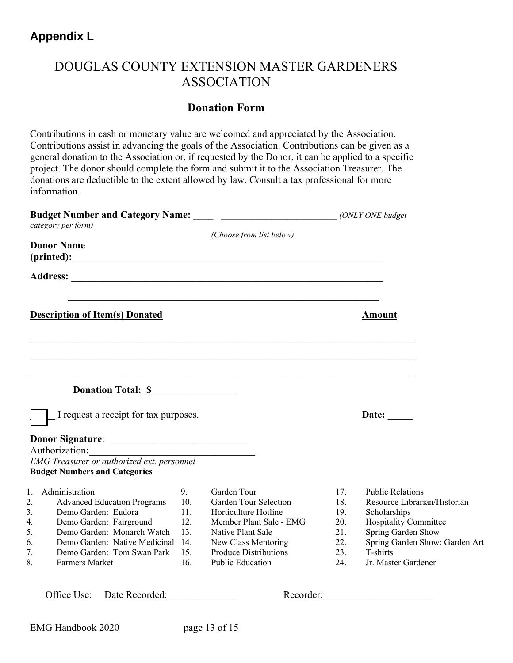## **Appendix L**

## DOUGLAS COUNTY EXTENSION MASTER GARDENERS ASSOCIATION

#### **Donation Form**

Contributions in cash or monetary value are welcomed and appreciated by the Association. Contributions assist in advancing the goals of the Association. Contributions can be given as a general donation to the Association or, if requested by the Donor, it can be applied to a specific project. The donor should complete the form and submit it to the Association Treasurer. The donations are deductible to the extent allowed by law. Consult a tax professional for more information.

| Budget Number and Category Name: _____ ____________________________ (ONLY ONE budget |                                                                                                           |                                |                                                                                                              |                                 |                                                                                                                        |
|--------------------------------------------------------------------------------------|-----------------------------------------------------------------------------------------------------------|--------------------------------|--------------------------------------------------------------------------------------------------------------|---------------------------------|------------------------------------------------------------------------------------------------------------------------|
|                                                                                      | category per form)                                                                                        |                                | (Choose from list below)                                                                                     |                                 |                                                                                                                        |
|                                                                                      | <b>Donor Name</b>                                                                                         |                                |                                                                                                              |                                 |                                                                                                                        |
|                                                                                      |                                                                                                           |                                |                                                                                                              |                                 |                                                                                                                        |
|                                                                                      | <b>Description of Item(s) Donated</b>                                                                     |                                |                                                                                                              |                                 | <b>Amount</b>                                                                                                          |
|                                                                                      |                                                                                                           |                                |                                                                                                              |                                 |                                                                                                                        |
|                                                                                      | <b>Donation Total: S</b>                                                                                  |                                |                                                                                                              |                                 |                                                                                                                        |
|                                                                                      | I request a receipt for tax purposes.                                                                     |                                |                                                                                                              |                                 | Date: $\qquad \qquad$                                                                                                  |
|                                                                                      |                                                                                                           |                                |                                                                                                              |                                 |                                                                                                                        |
|                                                                                      | Authorization:                                                                                            |                                |                                                                                                              |                                 |                                                                                                                        |
|                                                                                      | EMG Treasurer or authorized ext. personnel<br><b>Budget Numbers and Categories</b>                        |                                |                                                                                                              |                                 |                                                                                                                        |
| 2.<br>3.                                                                             | 1. Administration<br><b>Advanced Education Programs</b><br>Demo Garden: Eudora<br>Demo Garden: Fairground | 9.<br>10.<br>11.<br>12.<br>13. | Garden Tour<br>Garden Tour Selection<br>Horticulture Hotline<br>Member Plant Sale - EMG<br>Native Plant Sale | 17.<br>18.<br>19.<br>20.<br>21. | <b>Public Relations</b><br>Resource Librarian/Historian<br>Scholarships<br>Hospitality Committee<br>Spring Garden Show |

Office Use: Date Recorded: Necorder: Recorder: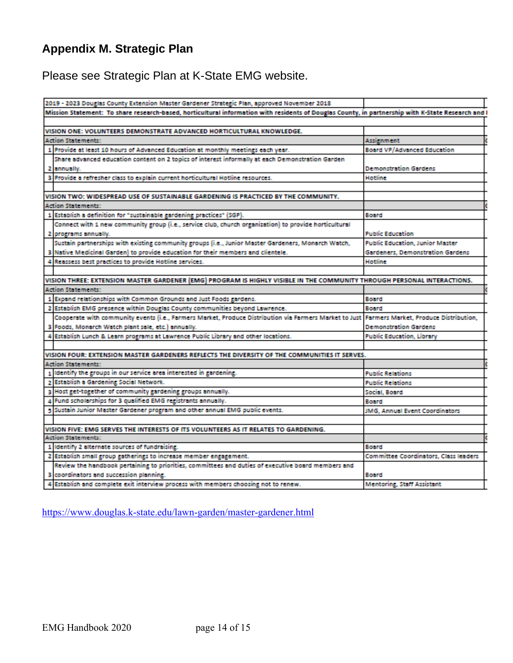## **Appendix M. Strategic Plan**

Please see Strategic Plan at K-State EMG website.

| 2019 - 2023 Douglas County Extension Master Gardener Strategic Plan, approved November 2018                                                      |                                        |  |
|--------------------------------------------------------------------------------------------------------------------------------------------------|----------------------------------------|--|
| Mission Statement: To share research-based, horticultural information with residents of Douglas County, in partnership with K-State Research and |                                        |  |
|                                                                                                                                                  |                                        |  |
| VISION ONE: VOLUNTEERS DEMONSTRATE ADVANCED HORTICULTURAL KNOWLEDGE.                                                                             |                                        |  |
| <b>Action Statements:</b>                                                                                                                        | Assignment                             |  |
| 1 Provide at least 10 hours of Advanced Education at monthly meetings each year.                                                                 | <b>Board VP/Advanced Education</b>     |  |
| Share advanced education content on 2 topics of interest informally at each Demonstration Garden                                                 |                                        |  |
| 2 annually.                                                                                                                                      | <b>Demonstration Gardens</b>           |  |
| 3 Provide a refresher class to explain current horticultural Hotline resources.                                                                  | Hotline                                |  |
|                                                                                                                                                  |                                        |  |
| VISION TWO: WIDESPREAD USE OF SUSTAINABLE GARDENING IS PRACTICED BY THE COMMUNITY.                                                               |                                        |  |
| <b>Action Statements:</b>                                                                                                                        |                                        |  |
| 1 Establish a definition for "sustainable gardening practices" (SGP).                                                                            | Board                                  |  |
| Connect with 1 new community group (i.e., service club, church organization) to provide horticultural                                            |                                        |  |
| 2 programs annually.                                                                                                                             | <b>Public Education</b>                |  |
| Sustain partnerships with existing community groups (i.e., Junior Master Gardeners, Monarch Watch,                                               | <b>Public Education, Junior Master</b> |  |
| 3 Native Medicinal Garden) to provide education for their members and clientele.                                                                 | Gardeners, Demonstration Gardens       |  |
| 4 Reassess best practices to provide Hotline services.                                                                                           | Hotline                                |  |
|                                                                                                                                                  |                                        |  |
| VISION THREE: EXTENSION MASTER GARDENER (EMG) PROGRAM IS HIGHLY VISIBLE IN THE COMMUNITY THROUGH PERSONAL INTERACTIONS.                          |                                        |  |
| <b>Action Statements:</b>                                                                                                                        |                                        |  |
| 1 Expand relationships with Common Grounds and Just Foods gardens.                                                                               | Board                                  |  |
| 2 Establish EMG presence within Douglas County communities beyond Lawrence.                                                                      | Board                                  |  |
| Cooperate with community events (i.e., Farmers Market, Produce Distribution via Farmers Market to Just Farmers Market, Produce Distribution,     |                                        |  |
| 3 Foods, Monarch Watch plant sale, etc.) annually.                                                                                               | <b>Demonstration Gardens</b>           |  |
| 4 Establish Lunch & Learn programs at Lawrence Public Library and other locations.                                                               | <b>Public Education, Library</b>       |  |
|                                                                                                                                                  |                                        |  |
| VISION FOUR: EXTENSION MASTER GARDENERS REFLECTS THE DIVERSITY OF THE COMMUNITIES IT SERVES.                                                     |                                        |  |
| <b>Action Statements:</b>                                                                                                                        |                                        |  |
| 1 Identify the groups in our service area interested in gardening.                                                                               | <b>Public Relations</b>                |  |
| 2 Establish a Gardening Social Network.                                                                                                          | <b>Public Relations</b>                |  |
| 3 Host get-together of community gardening groups annually.                                                                                      | Social, Board                          |  |
| 4 Fund scholarships for 3 qualified EMG registrants annually.                                                                                    | Board                                  |  |
| 5 Sustain Junior Master Gardener program and other annual EMG public events.                                                                     | JMG, Annual Event Coordinators         |  |
|                                                                                                                                                  |                                        |  |
| VISION FIVE: EMG SERVES THE INTERESTS OF ITS VOLUNTEERS AS IT RELATES TO GARDENING.                                                              |                                        |  |
| <b>Action Statements:</b>                                                                                                                        |                                        |  |
| 1 Identity 2 alternate sources of fundraising.                                                                                                   | Board                                  |  |
| 2 Establish small group gatherings to increase member engagement.                                                                                | Committee Coordinators, Class leaders  |  |
| Review the handbook pertaining to priorities, committees and duties of executive board members and                                               |                                        |  |
| 3 coordinators and succession planning.                                                                                                          | Board                                  |  |
| 4 Establish and complete exit interview process with members choosing not to renew.                                                              | <b>Mentoring, Staff Assistant</b>      |  |

<https://www.douglas.k-state.edu/lawn-garden/master-gardener.html>